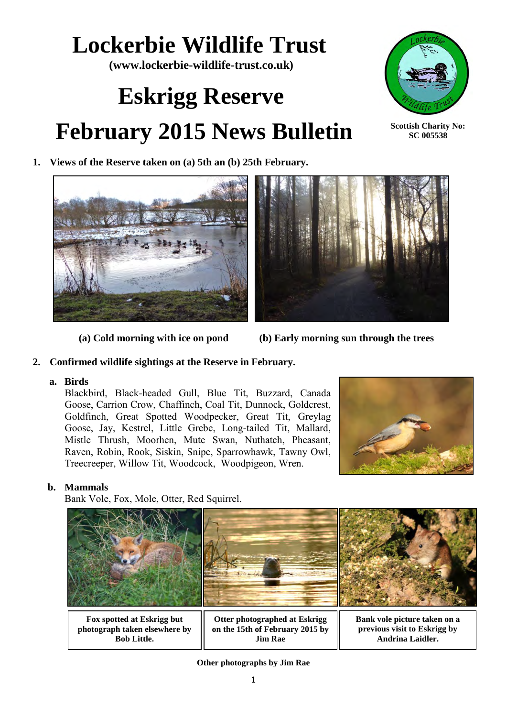## **Lockerbie Wildlife Trust**

**(www.lockerbie-wildlife-trust.co.uk)** 

# **Eskrigg Reserve February 2015 News Bulletin**



**Scottish Charity No: SC 005538**

**1. Views of the Reserve taken on (a) 5th an (b) 25th February.** 



 **(a) Cold morning with ice on pond (b) Early morning sun through the trees** 

#### **2. Confirmed wildlife sightings at the Reserve in February.**

#### **a. Birds**

Blackbird, Black-headed Gull, Blue Tit, Buzzard, Canada Goose, Carrion Crow, Chaffinch, Coal Tit, Dunnock, Goldcrest, Goldfinch, Great Spotted Woodpecker, Great Tit, Greylag Goose, Jay, Kestrel, Little Grebe, Long-tailed Tit, Mallard, Mistle Thrush, Moorhen, Mute Swan, Nuthatch, Pheasant, Raven, Robin, Rook, Siskin, Snipe, Sparrowhawk, Tawny Owl, Treecreeper, Willow Tit, Woodcock, Woodpigeon, Wren.



#### **b. Mammals**

Bank Vole, Fox, Mole, Otter, Red Squirrel.



**Fox spotted at Eskrigg but photograph taken elsewhere by Bob Little.**

**Otter photographed at Eskrigg on the 15th of February 2015 by Jim Rae**

**Bank vole picture taken on a previous visit to Eskrigg by Andrina Laidler.**

**Other photographs by Jim Rae**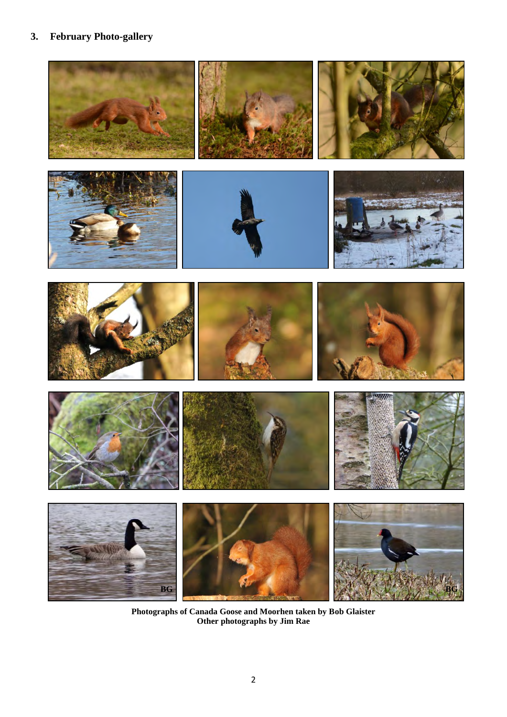### **3. February Photo-gallery**



**Photographs of Canada Goose and Moorhen taken by Bob Glaister Other photographs by Jim Rae**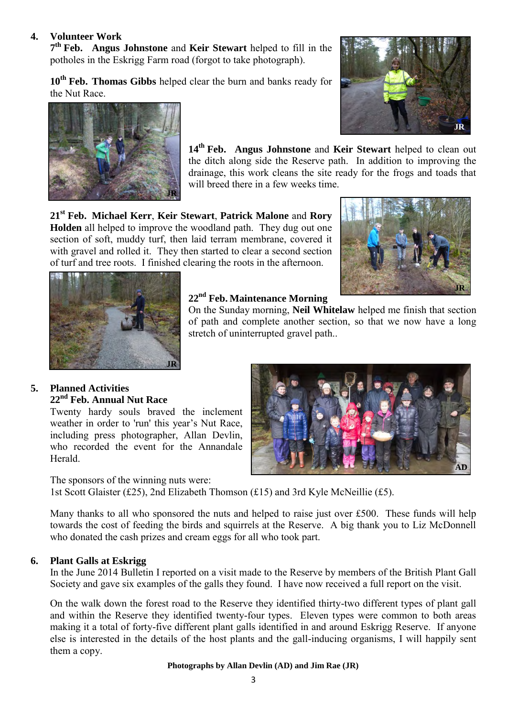#### **4. Volunteer Work**

**7 th Feb. Angus Johnstone** and **Keir Stewart** helped to fill in the potholes in the Eskrigg Farm road (forgot to take photograph).

**10th Feb. Thomas Gibbs** helped clear the burn and banks ready for the Nut Race.





**14th Feb. Angus Johnstone** and **Keir Stewart** helped to clean out the ditch along side the Reserve path. In addition to improving the drainage, this work cleans the site ready for the frogs and toads that will breed there in a few weeks time.

**21st Feb. Michael Kerr**, **Keir Stewart**, **Patrick Malone** and **Rory Holden** all helped to improve the woodland path. They dug out one section of soft, muddy turf, then laid terram membrane, covered it with gravel and rolled it. They then started to clear a second section of turf and tree roots. I finished clearing the roots in the afternoon.





#### **22nd Feb. Maintenance Morning**

On the Sunday morning, **Neil Whitelaw** helped me finish that section of path and complete another section, so that we now have a long stretch of uninterrupted gravel path..

#### **5. Planned Activities 22nd Feb. Annual Nut Race**

Twenty hardy souls braved the inclement weather in order to 'run' this year's Nut Race, including press photographer, Allan Devlin, who recorded the event for the Annandale Herald.

The sponsors of the winning nuts were:

1st Scott Glaister (£25), 2nd Elizabeth Thomson (£15) and 3rd Kyle McNeillie (£5).

Many thanks to all who sponsored the nuts and helped to raise just over £500. These funds will help towards the cost of feeding the birds and squirrels at the Reserve. A big thank you to Liz McDonnell who donated the cash prizes and cream eggs for all who took part.

#### **6. Plant Galls at Eskrigg**

In the June 2014 Bulletin I reported on a visit made to the Reserve by members of the British Plant Gall Society and gave six examples of the galls they found. I have now received a full report on the visit.

On the walk down the forest road to the Reserve they identified thirty-two different types of plant gall and within the Reserve they identified twenty-four types. Eleven types were common to both areas making it a total of forty-five different plant galls identified in and around Eskrigg Reserve. If anyone else is interested in the details of the host plants and the gall-inducing organisms, I will happily sent them a copy.

#### **Photographs by Allan Devlin (AD) and Jim Rae (JR)**